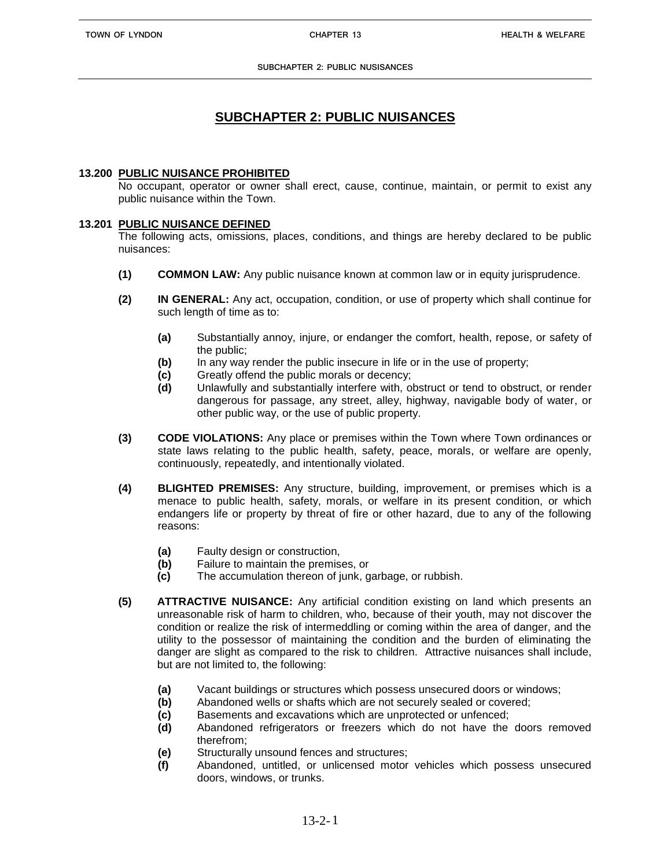# **SUBCHAPTER 2: PUBLIC NUISANCES**

## **13.200 PUBLIC NUISANCE PROHIBITED**

No occupant, operator or owner shall erect, cause, continue, maintain, or permit to exist any public nuisance within the Town.

## **13.201 PUBLIC NUISANCE DEFINED**

The following acts, omissions, places, conditions, and things are hereby declared to be public nuisances:

- **(1) COMMON LAW:** Any public nuisance known at common law or in equity jurisprudence.
- **(2) IN GENERAL:** Any act, occupation, condition, or use of property which shall continue for such length of time as to:
	- **(a)** Substantially annoy, injure, or endanger the comfort, health, repose, or safety of the public;
	- **(b)** In any way render the public insecure in life or in the use of property;
	- **(c)** Greatly offend the public morals or decency;
	- **(d)** Unlawfully and substantially interfere with, obstruct or tend to obstruct, or render dangerous for passage, any street, alley, highway, navigable body of water, or other public way, or the use of public property.
- **(3) CODE VIOLATIONS:** Any place or premises within the Town where Town ordinances or state laws relating to the public health, safety, peace, morals, or welfare are openly, continuously, repeatedly, and intentionally violated.
- **(4) BLIGHTED PREMISES:** Any structure, building, improvement, or premises which is a menace to public health, safety, morals, or welfare in its present condition, or which endangers life or property by threat of fire or other hazard, due to any of the following reasons:
	- **(a)** Faulty design or construction,
	- **(b)** Failure to maintain the premises, or
	- **(c)** The accumulation thereon of junk, garbage, or rubbish.
- **(5) ATTRACTIVE NUISANCE:** Any artificial condition existing on land which presents an unreasonable risk of harm to children, who, because of their youth, may not discover the condition or realize the risk of intermeddling or coming within the area of danger, and the utility to the possessor of maintaining the condition and the burden of eliminating the danger are slight as compared to the risk to children. Attractive nuisances shall include, but are not limited to, the following:
	- **(a)** Vacant buildings or structures which possess unsecured doors or windows;
	- **(b)** Abandoned wells or shafts which are not securely sealed or covered;
	- **(c)** Basements and excavations which are unprotected or unfenced;
	- **(d)** Abandoned refrigerators or freezers which do not have the doors removed therefrom;
	- **(e)** Structurally unsound fences and structures;
	- **(f)** Abandoned, untitled, or unlicensed motor vehicles which possess unsecured doors, windows, or trunks.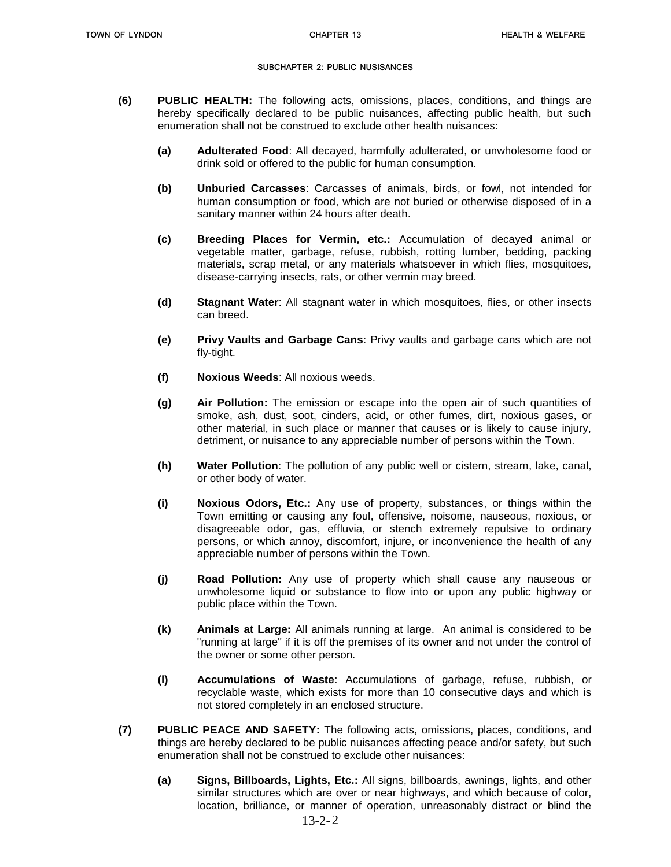#### **SUBCHAPTER 2: PUBLIC NUSISANCES**

- **(6) PUBLIC HEALTH:** The following acts, omissions, places, conditions, and things are hereby specifically declared to be public nuisances, affecting public health, but such enumeration shall not be construed to exclude other health nuisances:
	- **(a) Adulterated Food**: All decayed, harmfully adulterated, or unwholesome food or drink sold or offered to the public for human consumption.
	- **(b) Unburied Carcasses**: Carcasses of animals, birds, or fowl, not intended for human consumption or food, which are not buried or otherwise disposed of in a sanitary manner within 24 hours after death.
	- **(c) Breeding Places for Vermin, etc.:** Accumulation of decayed animal or vegetable matter, garbage, refuse, rubbish, rotting lumber, bedding, packing materials, scrap metal, or any materials whatsoever in which flies, mosquitoes, disease-carrying insects, rats, or other vermin may breed.
	- **(d) Stagnant Water**: All stagnant water in which mosquitoes, flies, or other insects can breed.
	- **(e) Privy Vaults and Garbage Cans**: Privy vaults and garbage cans which are not fly-tight.
	- **(f) Noxious Weeds**: All noxious weeds.
	- **(g) Air Pollution:** The emission or escape into the open air of such quantities of smoke, ash, dust, soot, cinders, acid, or other fumes, dirt, noxious gases, or other material, in such place or manner that causes or is likely to cause injury, detriment, or nuisance to any appreciable number of persons within the Town.
	- **(h) Water Pollution**: The pollution of any public well or cistern, stream, lake, canal, or other body of water.
	- **(i) Noxious Odors, Etc.:** Any use of property, substances, or things within the Town emitting or causing any foul, offensive, noisome, nauseous, noxious, or disagreeable odor, gas, effluvia, or stench extremely repulsive to ordinary persons, or which annoy, discomfort, injure, or inconvenience the health of any appreciable number of persons within the Town.
	- **(j) Road Pollution:** Any use of property which shall cause any nauseous or unwholesome liquid or substance to flow into or upon any public highway or public place within the Town.
	- **(k) Animals at Large:** All animals running at large. An animal is considered to be "running at large" if it is off the premises of its owner and not under the control of the owner or some other person.
	- **(l) Accumulations of Waste**: Accumulations of garbage, refuse, rubbish, or recyclable waste, which exists for more than 10 consecutive days and which is not stored completely in an enclosed structure.
- **(7) PUBLIC PEACE AND SAFETY:** The following acts, omissions, places, conditions, and things are hereby declared to be public nuisances affecting peace and/or safety, but such enumeration shall not be construed to exclude other nuisances:
	- **(a) Signs, Billboards, Lights, Etc.:** All signs, billboards, awnings, lights, and other similar structures which are over or near highways, and which because of color, location, brilliance, or manner of operation, unreasonably distract or blind the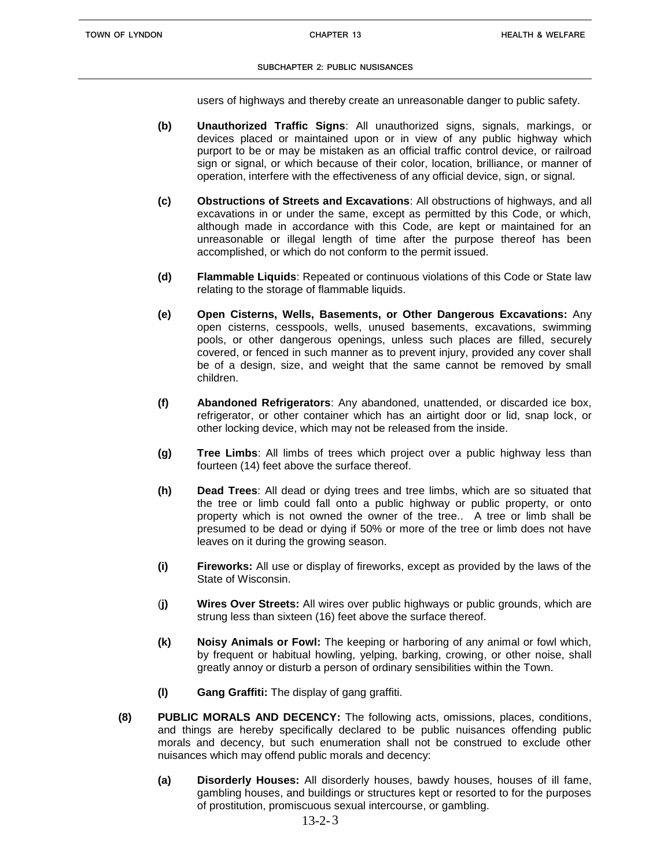#### **SUBCHAPTER 2: PUBLIC NUSISANCES**

users of highways and thereby create an unreasonable danger to public safety.

- **(b) Unauthorized Traffic Signs**: All unauthorized signs, signals, markings, or devices placed or maintained upon or in view of any public highway which purport to be or may be mistaken as an official traffic control device, or railroad sign or signal, or which because of their color, location, brilliance, or manner of operation, interfere with the effectiveness of any official device, sign, or signal.
- **(c) Obstructions of Streets and Excavations**: All obstructions of highways, and all excavations in or under the same, except as permitted by this Code, or which, although made in accordance with this Code, are kept or maintained for an unreasonable or illegal length of time after the purpose thereof has been accomplished, or which do not conform to the permit issued.
- **(d) Flammable Liquids**: Repeated or continuous violations of this Code or State law relating to the storage of flammable liquids.
- **(e) Open Cisterns, Wells, Basements, or Other Dangerous Excavations:** Any open cisterns, cesspools, wells, unused basements, excavations, swimming pools, or other dangerous openings, unless such places are filled, securely covered, or fenced in such manner as to prevent injury, provided any cover shall be of a design, size, and weight that the same cannot be removed by small children.
- **(f) Abandoned Refrigerators**: Any abandoned, unattended, or discarded ice box, refrigerator, or other container which has an airtight door or lid, snap lock, or other locking device, which may not be released from the inside.
- **(g) Tree Limbs**: All limbs of trees which project over a public highway less than fourteen (14) feet above the surface thereof.
- **(h) Dead Trees**: All dead or dying trees and tree limbs, which are so situated that the tree or limb could fall onto a public highway or public property, or onto property which is not owned the owner of the tree.. A tree or limb shall be presumed to be dead or dying if 50% or more of the tree or limb does not have leaves on it during the growing season.
- **(i) Fireworks:** All use or display of fireworks, except as provided by the laws of the State of Wisconsin.
- (**j) Wires Over Streets:** All wires over public highways or public grounds, which are strung less than sixteen (16) feet above the surface thereof.
- **(k) Noisy Animals or Fowl:** The keeping or harboring of any animal or fowl which, by frequent or habitual howling, yelping, barking, crowing, or other noise, shall greatly annoy or disturb a person of ordinary sensibilities within the Town.
- **(l) Gang Graffiti:** The display of gang graffiti.
- **(8) PUBLIC MORALS AND DECENCY:** The following acts, omissions, places, conditions, and things are hereby specifically declared to be public nuisances offending public morals and decency, but such enumeration shall not be construed to exclude other nuisances which may offend public morals and decency:
	- **(a) Disorderly Houses:** All disorderly houses, bawdy houses, houses of ill fame, gambling houses, and buildings or structures kept or resorted to for the purposes of prostitution, promiscuous sexual intercourse, or gambling.